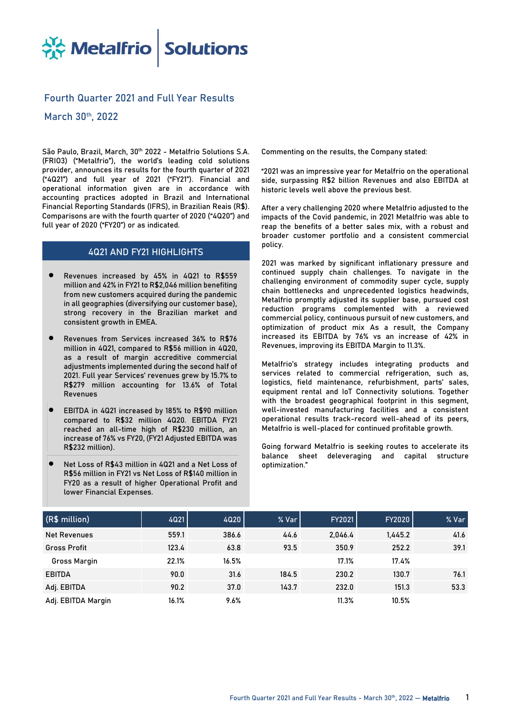

# **Fourth Quarter 2021 and Full Year Results**

**March 30 th, 2022**

**São Paulo, Brazil, March, 30 th 2022** - Metalfrio Solutions S.A. (FRIO3) ("Metalfrio"), the world's leading cold solutions provider, announces its results for the fourth quarter of 2021 ("4Q21") and full year of 2021 ("FY21"). Financial and operational information given are in accordance with accounting practices adopted in Brazil and International Financial Reporting Standards (IFRS), in Brazilian Reais (R\$). Comparisons are with the fourth quarter of 2020 ("4Q20") and full year of 2020 ("FY20") or as indicated.

## **4Q21 AND FY21 HIGHLIGHTS**

- Revenues increased by 45% in 4Q21 to R\$559 million and 42% in FY21 to R\$2,046 million benefiting from new customers acquired during the pandemic in all geographies (diversifying our customer base), strong recovery in the Brazilian market and consistent growth in EMEA.
- Revenues from Services increased 36% to R\$76 million in 4Q21, compared to R\$56 million in 4Q20, as a result of margin accreditive commercial adjustments implemented during the second half of 2021. Full year Services' revenues grew by 15.7% to R\$279 million accounting for 13.6% of Total Revenues
- EBITDA in 4Q21 increased by 185% to R\$90 million compared to R\$32 million 4Q20. EBITDA FY21 reached an all-time high of R\$230 million, an increase of 76% vs FY20, (FY21 Adjusted EBITDA was R\$232 million).
- Net Loss of R\$43 million in 4Q21 and a Net Loss of R\$56 million in FY21 vs Net Loss of R\$140 million in FY20 as a result of higher Operational Profit and lower Financial Expenses.

**Commenting on the results, the Company stated:**

"2021 was an impressive year for Metalfrio on the operational side, surpassing R\$2 billion Revenues and also EBITDA at historic levels well above the previous best.

After a very challenging 2020 where Metalfrio adjusted to the impacts of the Covid pandemic, in 2021 Metalfrio was able to reap the benefits of a better sales mix, with a robust and broader customer portfolio and a consistent commercial policy.

2021 was marked by significant inflationary pressure and continued supply chain challenges. To navigate in the challenging environment of commodity super cycle, supply chain bottlenecks and unprecedented logistics headwinds, Metalfrio promptly adjusted its supplier base, pursued cost reduction programs complemented with a reviewed commercial policy, continuous pursuit of new customers, and optimization of product mix As a result, the Company increased its EBITDA by 76% vs an increase of 42% in Revenues, improving its EBITDA Margin to 11.3%.

Metalfrio's strategy includes integrating products and services related to commercial refrigeration, such as, logistics, field maintenance, refurbishment, parts' sales, equipment rental and IoT Connectivity solutions. Together with the broadest geographical footprint in this segment, well-invested manufacturing facilities and a consistent operational results track-record well-ahead of its peers, Metalfrio is well-placed for continued profitable growth.

Going forward Metalfrio is seeking routes to accelerate its balance sheet deleveraging and capital structure optimization."

| (R\$ million)       | 4Q21  | 4020  | % Var | <b>FY2021</b> | <b>FY2020</b> | % Var |
|---------------------|-------|-------|-------|---------------|---------------|-------|
| <b>Net Revenues</b> | 559.1 | 386.6 | 44.6  | 2,046.4       | 1,445.2       | 41.6  |
| <b>Gross Profit</b> | 123.4 | 63.8  | 93.5  | 350.9         | 252.2         | 39.1  |
| <b>Gross Margin</b> | 22.1% | 16.5% |       | 17.1%         | 17.4%         |       |
| <b>EBITDA</b>       | 90.0  | 31.6  | 184.5 | 230.2         | 130.7         | 76.1  |
| Adj. EBITDA         | 90.2  | 37.0  | 143.7 | 232.0         | 151.3         | 53.3  |
| Adj. EBITDA Margin  | 16.1% | 9.6%  |       | 11.3%         | 10.5%         |       |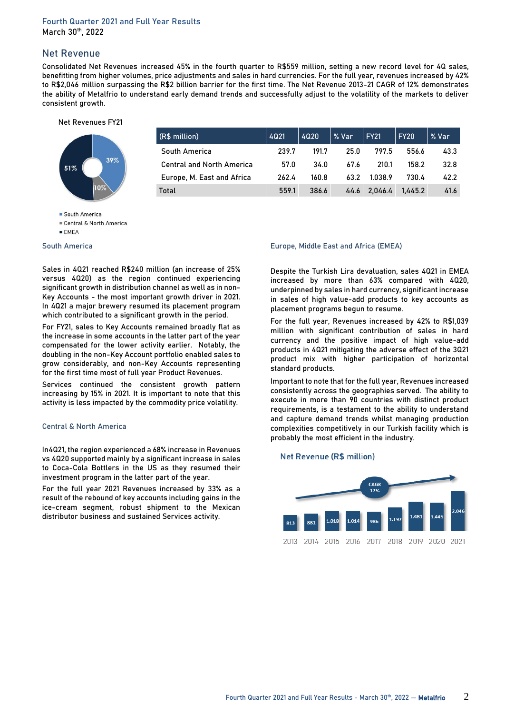# **Net Revenue**

**Consolidated Net Revenues** increased 45% in the fourth quarter to R\$559 million, setting a new record level for 4Q sales, benefitting from higher volumes, price adjustments and sales in hard currencies. For the full year, revenues increased by 42% to R\$2,046 million surpassing the R\$2 billion barrier for the first time. The Net Revenue 2013-21 CAGR of 12% demonstrates the ability of Metalfrio to understand early demand trends and successfully adjust to the volatility of the markets to deliver consistent growth.

#### Net Revenues FY21



| (R\$ million)                    | 4021  | 4020  | % Var | FY21    | FY20    | % Var |
|----------------------------------|-------|-------|-------|---------|---------|-------|
| South America                    | 239.7 | 191.7 | 25.0  | 797.5   | 556.6   | 43.3  |
| <b>Central and North America</b> | 57.0  | 34.0  | 67.6  | 210.1   | 158.2   | 32.8  |
| Europe, M. East and Africa       | 262.4 | 160.8 | 63.2  | 1.038.9 | 730.4   | 42.2  |
| Total                            | 559.1 | 386.6 | 44.6  | 2.046.4 | 1.445.2 | 41.6  |

#### South America

Central & North America

#### **South America**

Sales in 4Q21 reached R\$240 million (an increase of 25% versus 4Q20) as the region continued experiencing significant growth in distribution channel as well as in non-Key Accounts - the most important growth driver in 2021. In 4Q21 a major brewery resumed its placement program which contributed to a significant growth in the period.

For FY21, sales to Key Accounts remained broadly flat as the increase in some accounts in the latter part of the year compensated for the lower activity earlier. Notably, the doubling in the non-Key Account portfolio enabled sales to grow considerably, and non-Key Accounts representing for the first time most of full year Product Revenues.

Services continued the consistent growth pattern increasing by 15% in 2021. It is important to note that this activity is less impacted by the commodity price volatility.

#### **Central & North America**

In4Q21, the region experienced a 68% increase in Revenues vs 4Q20 supported mainly by a significant increase in sales to Coca-Cola Bottlers in the US as they resumed their investment program in the latter part of the year.

For the full year 2021 Revenues increased by 33% as a result of the rebound of key accounts including gains in the ice-cream segment, robust shipment to the Mexican distributor business and sustained Services activity.

#### **Europe, Middle East and Africa (EMEA)**

Despite the Turkish Lira devaluation, sales 4Q21 in EMEA increased by more than 63% compared with 4Q20, underpinned by sales in hard currency, significant increase in sales of high value-add products to key accounts as placement programs begun to resume.

For the full year, Revenues increased by 42% to R\$1,039 million with significant contribution of sales in hard currency and the positive impact of high value-add products in 4Q21 mitigating the adverse effect of the 3Q21 product mix with higher participation of horizontal standard products.

Important to note that for the full year, Revenues increased consistently across the geographies served. The ability to execute in more than 90 countries with distinct product requirements, is a testament to the ability to understand and capture demand trends whilst managing production complexities competitively in our Turkish facility which is probably the most efficient in the industry.

#### Net Revenue (R\$ million)



 $E$ FMFA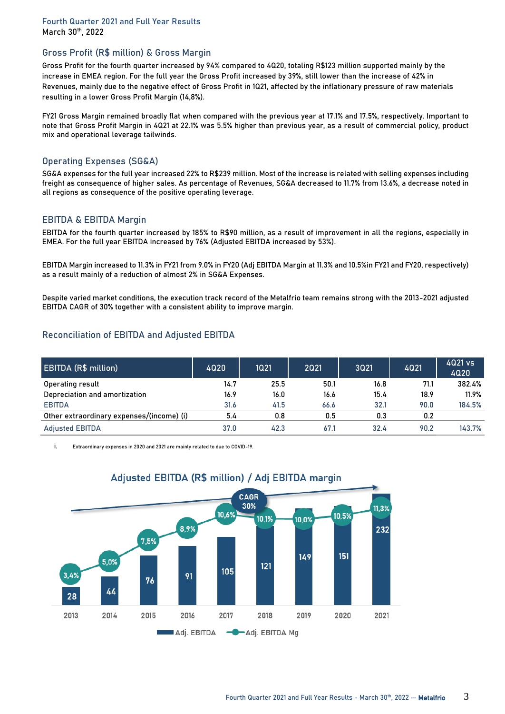### **Gross Profit (R\$ million) & Gross Margin**

Gross Profit for the fourth quarter increased by 94% compared to 4Q20, totaling R\$123 million supported mainly by the increase in EMEA region. For the full year the Gross Profit increased by 39%, still lower than the increase of 42% in Revenues, mainly due to the negative effect of Gross Profit in 1Q21, affected by the inflationary pressure of raw materials resulting in a lower Gross Profit Margin (14,8%).

FY21 Gross Margin remained broadly flat when compared with the previous year at 17.1% and 17.5%, respectively. Important to note that Gross Profit Margin in 4Q21 at 22.1% was 5.5% higher than previous year, as a result of commercial policy, product mix and operational leverage tailwinds.

## **Operating Expenses (SG&A)**

SG&A expenses for the full year increased 22% to R\$239 million. Most of the increase is related with selling expenses including freight as consequence of higher sales. As percentage of Revenues, SG&A decreased to 11.7% from 13.6%, a decrease noted in all regions as consequence of the positive operating leverage.

## **EBITDA & EBITDA Margin**

EBITDA for the fourth quarter increased by 185% to R\$90 million, as a result of improvement in all the regions, especially in EMEA. For the full year EBITDA increased by 76% (Adjusted EBITDA increased by 53%).

EBITDA Margin increased to 11.3% in FY21 from 9.0% in FY20 (Adj EBITDA Margin at 11.3% and 10.5%in FY21 and FY20, respectively) as a result mainly of a reduction of almost 2% in SG&A Expenses.

Despite varied market conditions, the execution track record of the Metalfrio team remains strong with the 2013-2021 adjusted EBITDA CAGR of 30% together with a consistent ability to improve margin.

# **Reconciliation of EBITDA and Adjusted EBITDA**

| <b>EBITDA (R\$ million)</b>               | 4020 | 1Q21 | 2021 | 3Q21 | 4021 | 4021 vs<br>4Q20 |
|-------------------------------------------|------|------|------|------|------|-----------------|
| Operating result                          | 14.7 | 25.5 | 50.1 | 16.8 | 71.1 | 382.4%          |
| Depreciation and amortization             | 16.9 | 16.0 | 16.6 | 15.4 | 18.9 | 11.9%           |
| <b>EBITDA</b>                             | 31.6 | 41.5 | 66.6 | 32.1 | 90.0 | 184.5%          |
| Other extraordinary expenses/(income) (i) | 5.4  | 0.8  | 0.5  | 0.3  | 0.2  |                 |
| <b>Adjusted EBITDA</b>                    | 37.0 | 42.3 | 67.1 | 32.4 | 90.2 | 143.7%          |

i. Extraordinary expenses in 2020 and 2021 are mainly related to due to COVID-19.



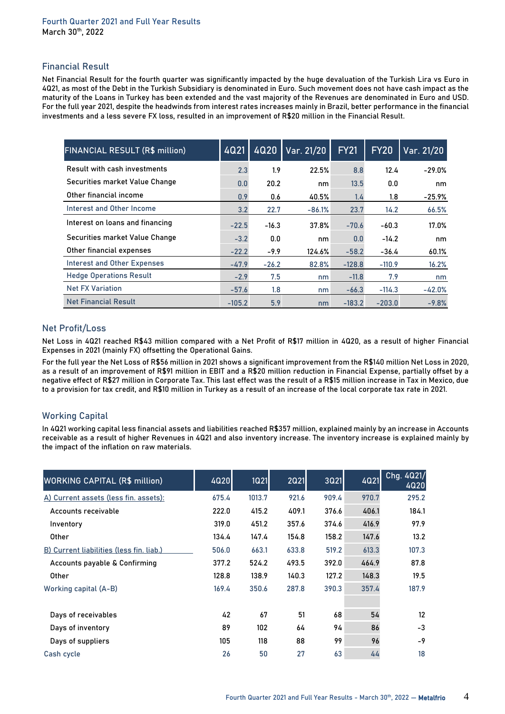### **Financial Result**

Net Financial Result for the fourth quarter was significantly impacted by the huge devaluation of the Turkish Lira vs Euro in 4Q21, as most of the Debt in the Turkish Subsidiary is denominated in Euro. Such movement does not have cash impact as the maturity of the Loans in Turkey has been extended and the vast majority of the Revenues are denominated in Euro and USD. For the full year 2021, despite the headwinds from interest rates increases mainly in Brazil, better performance in the financial investments and a less severe FX loss, resulted in an improvement of R\$20 million in the Financial Result.

| <b>FINANCIAL RESULT (R\$ million)</b> | 4Q21     | 4Q20    | Var. 21/20 | <b>FY21</b> | <b>FY20</b> | Var. 21/20 |
|---------------------------------------|----------|---------|------------|-------------|-------------|------------|
| Result with cash investments          | 2.3      | 1.9     | 22.5%      | 8.8         | 12.4        | $-29.0%$   |
| Securities market Value Change        | 0.0      | 20.2    | nm         | 13.5        | 0.0         | nm         |
| Other financial income                | 0.9      | 0.6     | 40.5%      | 1.4         | 1.8         | $-25.9%$   |
| Interest and Other Income             | 3.2      | 22.7    | $-86.1%$   | 23.7        | 14.2        | 66.5%      |
| Interest on loans and financing       | $-22.5$  | $-16.3$ | 37.8%      | $-70.6$     | $-60.3$     | 17.0%      |
| Securities market Value Change        | $-3.2$   | 0.0     | nm         | 0.0         | $-14.2$     | nm         |
| Other financial expenses              | $-22.2$  | $-9.9$  | 124.6%     | $-58.2$     | -36.4       | 60.1%      |
| <b>Interest and Other Expenses</b>    | $-47.9$  | $-26.2$ | 82.8%      | $-128.8$    | $-110.9$    | 16.2%      |
| <b>Hedge Operations Result</b>        | $-2.9$   | 7.5     | nm         | $-11.8$     | 7.9         | nm         |
| <b>Net FX Variation</b>               | $-57.6$  | 1.8     | nm         | $-66.3$     | $-114.3$    | $-42.0%$   |
| <b>Net Financial Result</b>           | $-105.2$ | 5.9     | nm         | $-183.2$    | $-203.0$    | $-9.8%$    |

## **Net Profit/Loss**

Net Loss in 4Q21 reached R\$43 million compared with a Net Profit of R\$17 million in 4Q20, as a result of higher Financial Expenses in 2021 (mainly FX) offsetting the Operational Gains.

For the full year the Net Loss of R\$56 million in 2021 shows a significant improvement from the R\$140 million Net Loss in 2020, as a result of an improvement of R\$91 million in EBIT and a R\$20 million reduction in Financial Expense, partially offset by a negative effect of R\$27 million in Corporate Tax. This last effect was the result of a R\$15 million increase in Tax in Mexico, due to a provision for tax credit, and R\$10 million in Turkey as a result of an increase of the local corporate tax rate in 2021.

# **Working Capital**

In 4Q21 working capital less financial assets and liabilities reached R\$357 million, explained mainly by an increase in Accounts receivable as a result of higher Revenues in 4Q21 and also inventory increase. The inventory increase is explained mainly by the impact of the inflation on raw materials.

| <b>WORKING CAPITAL (R\$ million)</b>     | 4Q20  | <b>1Q21</b> | 2021  | 3Q21  | <b>4Q21</b> | Chg. 4021/<br>4020 |
|------------------------------------------|-------|-------------|-------|-------|-------------|--------------------|
| A) Current assets (less fin. assets):    | 675.4 | 1013.7      | 921.6 | 909.4 | 970.7       | 295.2              |
| Accounts receivable                      | 222.0 | 415.2       | 409.1 | 376.6 | 406.1       | 184.1              |
| Inventory                                | 319.0 | 451.2       | 357.6 | 374.6 | 416.9       | 97.9               |
| <b>Other</b>                             | 134.4 | 147.4       | 154.8 | 158.2 | 147.6       | 13.2               |
| B) Current liabilities (less fin. liab.) | 506.0 | 663.1       | 633.8 | 519.2 | 613.3       | 107.3              |
| Accounts payable & Confirming            | 377.2 | 524.2       | 493.5 | 392.0 | 464.9       | 87.8               |
| Other                                    | 128.8 | 138.9       | 140.3 | 127.2 | 148.3       | 19.5               |
| Working capital (A-B)                    | 169.4 | 350.6       | 287.8 | 390.3 | 357.4       | 187.9              |
|                                          |       |             |       |       |             |                    |
| Days of receivables                      | 42    | 67          | 51    | 68    | 54          | 12                 |
| Days of inventory                        | 89    | 102         | 64    | 94    | 86          | $-3$               |
| Days of suppliers                        | 105   | 118         | 88    | 99    | 96          | $-9$               |
| Cash cycle                               | 26    | 50          | 27    | 63    | 44          | 18                 |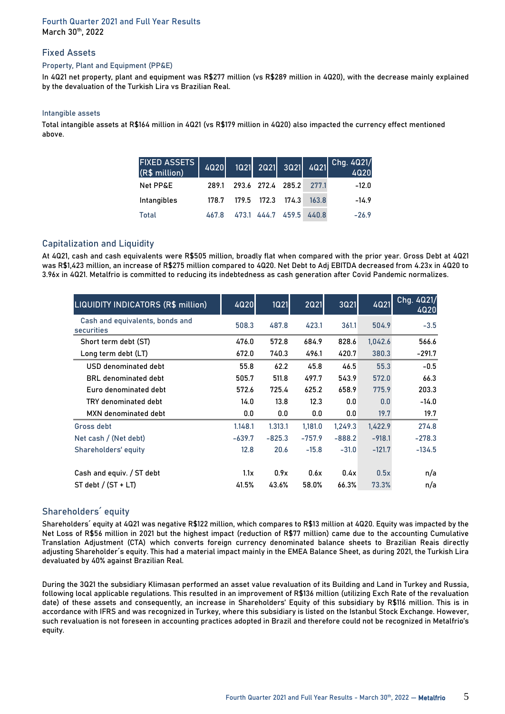### **Fixed Assets**

#### **Property, Plant and Equipment (PP&E)**

In 4Q21 net property, plant and equipment was R\$277 million (vs R\$289 million in 4Q20), with the decrease mainly explained by the devaluation of the Turkish Lira vs Brazilian Real.

#### **Intangible assets**

Total intangible assets at R\$164 million in 4Q21 (vs R\$179 million in 4Q20) also impacted the currency effect mentioned above.

| <b>FIXED ASSETS</b><br>(R\$ million) | 4020  |      |             |                   |       | 1021 2021 3021 4021 Chg. 4021/<br>4020 |
|--------------------------------------|-------|------|-------------|-------------------|-------|----------------------------------------|
| Net PP&E                             | 289.1 |      |             | 293.6 272.4 285.2 | 277.1 | $-12.0$                                |
| Intangibles                          | 178.7 |      | 179.5 172.3 | 174.3             | 163.8 | $-14.9$                                |
| <b>Total</b>                         | 467.8 | 4731 | 444.7       | 459.5             | 440.8 | $-26.9$                                |

## **Capitalization and Liquidity**

At 4Q21, cash and cash equivalents were R\$505 million, broadly flat when compared with the prior year. Gross Debt at 4Q21 was R\$1,423 million, an increase of R\$275 million compared to 4Q20. Net Debt to Adj EBITDA decreased from 4.23x in 4Q20 to 3.96x in 4Q21. Metalfrio is committed to reducing its indebtedness as cash generation after Covid Pandemic normalizes.

| LIQUIDITY INDICATORS (R\$ million)            | 4020     | <b>1Q21</b> | <b>2021</b> | 3Q21     | <b>4021</b> | Chg. 4021/<br><b>4020</b> |
|-----------------------------------------------|----------|-------------|-------------|----------|-------------|---------------------------|
| Cash and equivalents, bonds and<br>securities | 508.3    | 487.8       | 423.1       | 361.1    | 504.9       | $-3.5$                    |
| Short term debt (ST)                          | 476.0    | 572.8       | 684.9       | 828.6    | 1,042.6     | 566.6                     |
| Long term debt (LT)                           | 672.0    | 740.3       | 496.1       | 420.7    | 380.3       | $-291.7$                  |
| USD denominated debt                          | 55.8     | 62.2        | 45.8        | 46.5     | 55.3        | $-0.5$                    |
| <b>BRL</b> denominated debt                   | 505.7    | 511.8       | 497.7       | 543.9    | 572.0       | 66.3                      |
| Euro denominated debt                         | 572.6    | 725.4       | 625.2       | 658.9    | 775.9       | 203.3                     |
| TRY denominated debt                          | 14.0     | 13.8        | 12.3        | 0.0      | 0.0         | $-14.0$                   |
| MXN denominated debt                          | 0.0      | 0.0         | 0.0         | 0.0      | 19.7        | 19.7                      |
| Gross debt                                    | 1.148.1  | 1.313.1     | 1,181.0     | 1,249.3  | 1,422.9     | 274.8                     |
| Net cash / (Net debt)                         | $-639.7$ | $-825.3$    | $-757.9$    | $-888.2$ | $-918.1$    | $-278.3$                  |
| Shareholders' equity                          | 12.8     | 20.6        | $-15.8$     | $-31.0$  | $-121.7$    | $-134.5$                  |
|                                               |          |             |             |          |             |                           |
| Cash and equiv. / ST debt                     | 1.1x     | 0.9x        | 0.6x        | 0.4x     | 0.5x        | n/a                       |
| $ST$ debt / $(ST + LT)$                       | 41.5%    | 43.6%       | 58.0%       | 66.3%    | 73.3%       | n/a                       |

# **Shareholders´ equity**

Shareholders´ equity at 4Q21 was negative R\$122 million, which compares to R\$13 million at 4Q20. Equity was impacted by the Net Loss of R\$56 million in 2021 but the highest impact (reduction of R\$77 million) came due to the accounting Cumulative Translation Adjustment (CTA) which converts foreign currency denominated balance sheets to Brazilian Reais directly adjusting Shareholder´s equity. This had a material impact mainly in the EMEA Balance Sheet, as during 2021, the Turkish Lira devaluated by 40% against Brazilian Real.

During the 3Q21 the subsidiary Klimasan performed an asset value revaluation of its Building and Land in Turkey and Russia, following local applicable regulations. This resulted in an improvement of R\$136 million (utilizing Exch Rate of the revaluation date) of these assets and consequently, an increase in Shareholders' Equity of this subsidiary by R\$116 million. This is in accordance with IFRS and was recognized in Turkey, where this subsidiary is listed on the Istanbul Stock Exchange. However, such revaluation is not foreseen in accounting practices adopted in Brazil and therefore could not be recognized in Metalfrio's equity.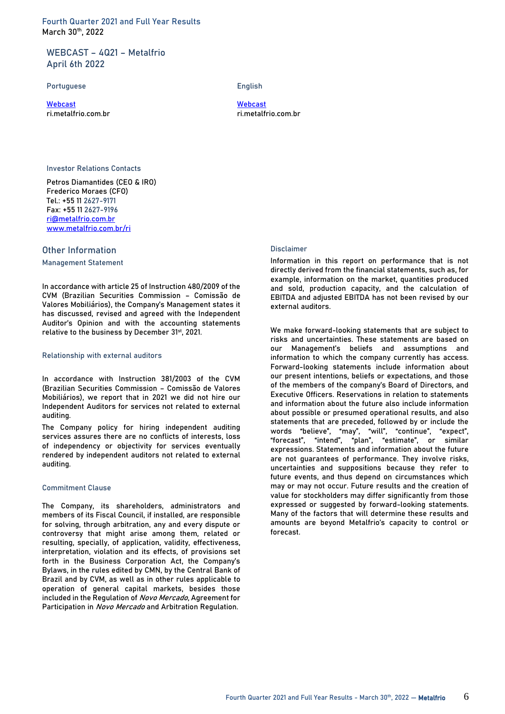### **WEBCAST – 4Q21 – Metalfrio April 6th 2022**

**Portuguese English**

[Webcast](http://webcast.engage-x.com/Cover.aspx?PlatformId=ZXjrW56c954aEgk%2FG1i1OA%3D%3D) [Webcast](http://webcast.engage-x.com/Cover.aspx?PlatformId=h7hiVQ9zWdYqCo2pgiJIWQ%3D%3D) ri.metalfrio.com.br ri.metalfrio.com.br

#### **Investor Relations Contacts**

Petros Diamantides (CEO & IRO) Frederico Moraes (CFO) Tel.: +55 11 **2627-9171** Fax: +55 11 **2627-9196** [ri@metalfrio.com.br](mailto:ri@metalfrio.com.br) [www.metalfrio.com.br/](http://www.metalfrio.com.br/)ri

#### **Other Information**

**Management Statement**

In accordance with article 25 of Instruction 480/2009 of the CVM (Brazilian Securities Commission – Comissão de Valores Mobiliários), the Company's Management states it has discussed, revised and agreed with the Independent Auditor's Opinion and with the accounting statements relative to the business by December 31<sup>st</sup>, 2021.

#### **Relationship with external auditors**

In accordance with Instruction 381/2003 of the CVM (Brazilian Securities Commission – Comissão de Valores Mobiliários), we report that in 2021 we did not hire our Independent Auditors for services not related to external auditing.

The Company policy for hiring independent auditing services assures there are no conflicts of interests, loss of independency or objectivity for services eventually rendered by independent auditors not related to external auditing.

#### **Commitment Clause**

The Company, its shareholders, administrators and members of its Fiscal Council, if installed, are responsible for solving, through arbitration, any and every dispute or controversy that might arise among them, related or resulting, specially, of application, validity, effectiveness, interpretation, violation and its effects, of provisions set forth in the Business Corporation Act, the Company's Bylaws, in the rules edited by CMN, by the Central Bank of Brazil and by CVM, as well as in other rules applicable to operation of general capital markets, besides those included in the Regulation of Novo Mercado, Agreement for Participation in Novo Mercado and Arbitration Regulation.

#### **Disclaimer**

Information in this report on performance that is not directly derived from the financial statements, such as, for example, information on the market, quantities produced and sold, production capacity, and the calculation of EBITDA and adjusted EBITDA has not been revised by our external auditors.

We make forward-looking statements that are subject to risks and uncertainties. These statements are based on our Management's beliefs and assumptions and information to which the company currently has access. Forward-looking statements include information about our present intentions, beliefs or expectations, and those of the members of the company's Board of Directors, and Executive Officers. Reservations in relation to statements and information about the future also include information about possible or presumed operational results, and also statements that are preceded, followed by or include the words "believe", "may", "will", "continue", "expect", "forecast", "intend", "plan", "estimate", or similar expressions. Statements and information about the future are not guarantees of performance. They involve risks, uncertainties and suppositions because they refer to future events, and thus depend on circumstances which may or may not occur. Future results and the creation of value for stockholders may differ significantly from those expressed or suggested by forward-looking statements. Many of the factors that will determine these results and amounts are beyond Metalfrio's capacity to control or forecast.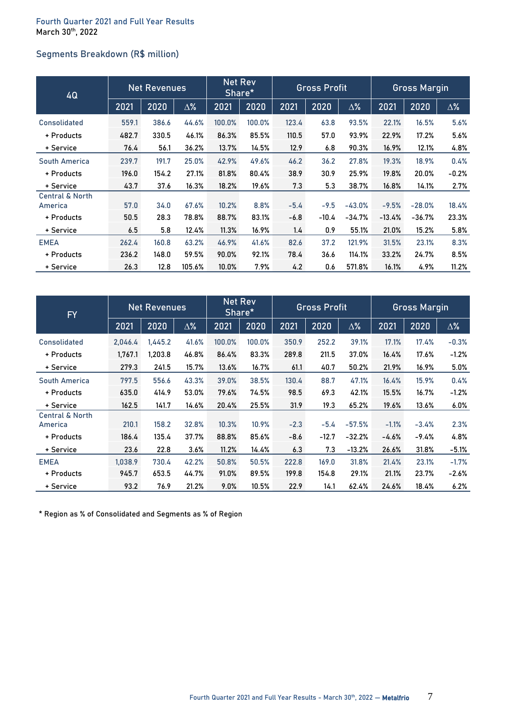# **Segments Breakdown (R\$ million)**

| 4Q                                    | <b>Net Revenues</b> |       | <b>Net Rev</b><br>Share* |          | <b>Gross Profit</b> |        |         | <b>Gross Margin</b> |          |          |            |
|---------------------------------------|---------------------|-------|--------------------------|----------|---------------------|--------|---------|---------------------|----------|----------|------------|
|                                       | 2021                | 2020  | $\Delta\%$               | 2021     | 2020                | 2021   | 2020    | $\Delta\%$          | 2021     | 2020     | $\Delta\%$ |
| Consolidated                          | 559.1               | 386.6 | 44.6%                    | 100.0%   | 100.0%              | 123.4  | 63.8    | 93.5%               | 22.1%    | 16.5%    | 5.6%       |
| + Products                            | 482.7               | 330.5 | 46.1%                    | 86.3%    | 85.5%               | 110.5  | 57.0    | 93.9%               | 22.9%    | 17.2%    | 5.6%       |
| + Service                             | 76.4                | 56.1  | 36.2%                    | 13.7%    | 14.5%               | 12.9   | 6.8     | 90.3%               | 16.9%    | 12.1%    | 4.8%       |
| South America                         | 239.7               | 191.7 | 25.0%                    | 42.9%    | 49.6%               | 46.2   | 36.2    | 27.8%               | 19.3%    | 18.9%    | 0.4%       |
| + Products                            | 196.0               | 154.2 | 27.1%                    | 81.8%    | 80.4%               | 38.9   | 30.9    | 25.9%               | 19.8%    | 20.0%    | $-0.2%$    |
| + Service                             | 43.7                | 37.6  | 16.3%                    | 18.2%    | 19.6%               | 7.3    | 5.3     | 38.7%               | 16.8%    | 14.1%    | 2.7%       |
| <b>Central &amp; North</b><br>America | 57.0                | 34.0  | 67.6%                    | 10.2%    | 8.8%                | $-5.4$ | $-9.5$  | $-43.0%$            | $-9.5%$  | $-28.0%$ | 18.4%      |
| + Products                            | 50.5                | 28.3  | 78.8%                    | 88.7%    | 83.1%               | $-6.8$ | $-10.4$ | -34.7%              | $-13.4%$ | $-36.7%$ | 23.3%      |
| + Service                             | 6.5                 | 5.8   | 12.4%                    | 11.3%    | 16.9%               | 1.4    | 0.9     | 55.1%               | 21.0%    | 15.2%    | 5.8%       |
| <b>EMEA</b>                           | 262.4               | 160.8 | 63.2%                    | 46.9%    | 41.6%               | 82.6   | 37.2    | 121.9%              | 31.5%    | 23.1%    | 8.3%       |
| + Products                            | 236.2               | 148.0 | 59.5%                    | 90.0%    | 92.1%               | 78.4   | 36.6    | 114.1%              | 33.2%    | 24.7%    | 8.5%       |
| + Service                             | 26.3                | 12.8  | 105.6%                   | $10.0\%$ | 7.9%                | 4.2    | 0.6     | 571.8%              | 16.1%    | 4.9%     | 11.2%      |

| <b>FY</b>                             | <b>Net Revenues</b> |         | <b>Net Rev</b><br>Share* |        | <b>Gross Profit</b> |        |         | <b>Gross Margin</b> |         |         |            |
|---------------------------------------|---------------------|---------|--------------------------|--------|---------------------|--------|---------|---------------------|---------|---------|------------|
|                                       | 2021                | 2020    | $\Delta\%$               | 2021   | 2020                | 2021   | 2020    | $\Delta\%$          | 2021    | 2020    | $\Delta\%$ |
| <b>Consolidated</b>                   | 2,046.4             | 1,445.2 | 41.6%                    | 100.0% | 100.0%              | 350.9  | 252.2   | 39.1%               | 17.1%   | 17.4%   | $-0.3%$    |
| + Products                            | 1,767.1             | 1,203.8 | 46.8%                    | 86.4%  | 83.3%               | 289.8  | 211.5   | 37.0%               | 16.4%   | 17.6%   | $-1.2%$    |
| + Service                             | 279.3               | 241.5   | 15.7%                    | 13.6%  | 16.7%               | 61.1   | 40.7    | 50.2%               | 21.9%   | 16.9%   | 5.0%       |
| <b>South America</b>                  | 797.5               | 556.6   | 43.3%                    | 39.0%  | 38.5%               | 130.4  | 88.7    | 47.1%               | 16.4%   | 15.9%   | 0.4%       |
| + Products                            | 635.0               | 414.9   | 53.0%                    | 79.6%  | 74.5%               | 98.5   | 69.3    | 42.1%               | 15.5%   | 16.7%   | $-1.2%$    |
| + Service                             | 162.5               | 141.7   | 14.6%                    | 20.4%  | 25.5%               | 31.9   | 19.3    | 65.2%               | 19.6%   | 13.6%   | $6.0\%$    |
| <b>Central &amp; North</b><br>America | 210.1               | 158.2   | 32.8%                    | 10.3%  | 10.9%               | $-2.3$ | $-5.4$  | $-57.5%$            | $-1.1%$ | $-3.4%$ | 2.3%       |
| + Products                            | 186.4               | 135.4   | 37.7%                    | 88.8%  | 85.6%               | $-8.6$ | $-12.7$ | $-32.2%$            | $-4.6%$ | -9.4%   | 4.8%       |
| + Service                             | 23.6                | 22.8    | 3.6%                     | 11.2%  | 14.4%               | 6.3    | 7.3     | $-13.2%$            | 26.6%   | 31.8%   | $-5.1%$    |
| <b>EMEA</b>                           | 1,038.9             | 730.4   | 42.2%                    | 50.8%  | 50.5%               | 222.8  | 169.0   | 31.8%               | 21.4%   | 23.1%   | $-1.7%$    |
| + Products                            | 945.7               | 653.5   | 44.7%                    | 91.0%  | 89.5%               | 199.8  | 154.8   | 29.1%               | 21.1%   | 23.7%   | -2.6%      |
| + Service                             | 93.2                | 76.9    | 21.2%                    | 9.0%   | 10.5%               | 22.9   | 14.1    | 62.4%               | 24.6%   | 18.4%   | 6.2%       |

\* Region as % of Consolidated and Segments as % of Region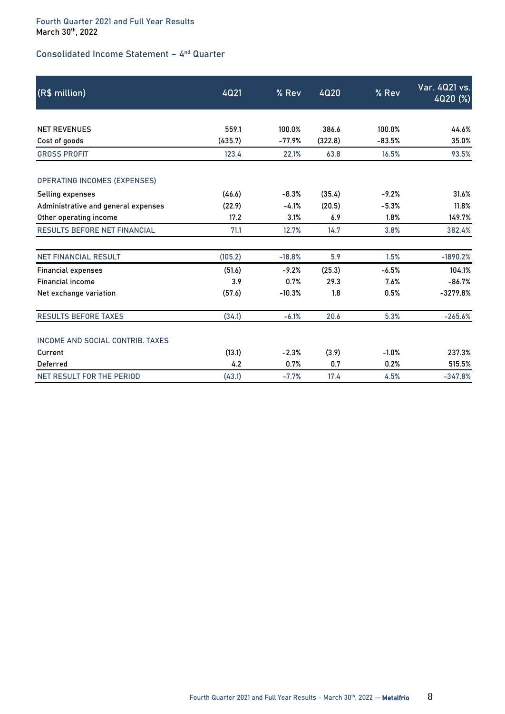## **Consolidated Income Statement – 4 nd Quarter**

| (R\$ million)                       | 4Q21    | % Rev    | <b>4020</b> | % Rev    | Var. 4021 vs.<br>4020 (%) |
|-------------------------------------|---------|----------|-------------|----------|---------------------------|
|                                     |         |          |             |          |                           |
| <b>NET REVENUES</b>                 | 559.1   | 100.0%   | 386.6       | 100.0%   | 44.6%                     |
| Cost of goods                       | (435.7) | $-77.9%$ | (322.8)     | $-83.5%$ | 35.0%                     |
| <b>GROSS PROFIT</b>                 | 123.4   | 22.1%    | 63.8        | 16.5%    | 93.5%                     |
| <b>OPERATING INCOMES (EXPENSES)</b> |         |          |             |          |                           |
| Selling expenses                    | (46.6)  | $-8.3%$  | (35.4)      | $-9.2%$  | 31.6%                     |
| Administrative and general expenses | (22.9)  | $-4.1%$  | (20.5)      | $-5.3%$  | 11.8%                     |
| Other operating income              | 17.2    | 3.1%     | 6.9         | 1.8%     | 149.7%                    |
| <b>RESULTS BEFORE NET FINANCIAL</b> | 71.1    | 12.7%    | 14.7        | 3.8%     | 382.4%                    |
| <b>NET FINANCIAL RESULT</b>         | (105.2) | $-18.8%$ | 5.9         | 1.5%     | $-1890.2%$                |
| <b>Financial expenses</b>           | (51.6)  | $-9.2%$  | (25.3)      | $-6.5%$  | 104.1%                    |
| <b>Financial income</b>             | 3.9     | 0.7%     | 29.3        | 7.6%     | $-86.7%$                  |
| Net exchange variation              | (57.6)  | $-10.3%$ | 1.8         | 0.5%     | $-3279.8%$                |
| <b>RESULTS BEFORE TAXES</b>         | (34.1)  | $-6.1%$  | 20.6        | 5.3%     | $-265.6%$                 |
| INCOME AND SOCIAL CONTRIB. TAXES    |         |          |             |          |                           |
| Current                             | (13.1)  | $-2.3%$  | (3.9)       | $-1.0%$  | 237.3%                    |
| Deferred                            | 4.2     | 0.7%     | 0.7         | 0.2%     | 515.5%                    |
| NET RESULT FOR THE PERIOD           | (43.1)  | $-7.7%$  | 17.4        | 4.5%     | $-347.8%$                 |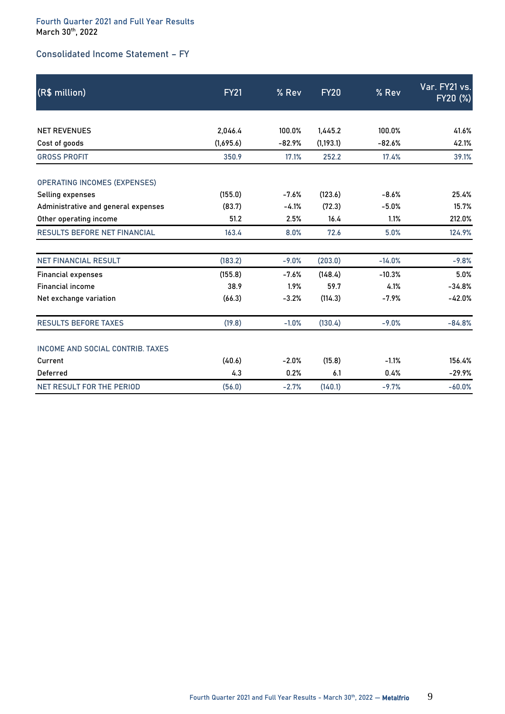# **Consolidated Income Statement – FY**

| (R\$ million)                       | <b>FY21</b> | % Rev    | <b>FY20</b> | % Rev    | Var. FY21 vs.<br>FY20 (%) |
|-------------------------------------|-------------|----------|-------------|----------|---------------------------|
|                                     |             |          |             |          |                           |
| <b>NET REVENUES</b>                 | 2,046.4     | 100.0%   | 1,445.2     | 100.0%   | 41.6%                     |
| Cost of goods                       | (1,695.6)   | $-82.9%$ | (1, 193.1)  | $-82.6%$ | 42.1%                     |
| <b>GROSS PROFIT</b>                 | 350.9       | 17.1%    | 252.2       | 17.4%    | 39.1%                     |
| <b>OPERATING INCOMES (EXPENSES)</b> |             |          |             |          |                           |
| Selling expenses                    | (155.0)     | $-7.6%$  | (123.6)     | $-8.6%$  | 25.4%                     |
| Administrative and general expenses | (83.7)      | $-4.1%$  | (72.3)      | $-5.0%$  | 15.7%                     |
| Other operating income              | 51.2        | 2.5%     | 16.4        | 1.1%     | 212.0%                    |
| <b>RESULTS BEFORE NET FINANCIAL</b> | 163.4       | 8.0%     | 72.6        | 5.0%     | 124.9%                    |
| <b>NET FINANCIAL RESULT</b>         | (183.2)     | $-9.0%$  | (203.0)     | $-14.0%$ | $-9.8%$                   |
| <b>Financial expenses</b>           | (155.8)     | $-7.6%$  | (148.4)     | $-10.3%$ | 5.0%                      |
| <b>Financial income</b>             | 38.9        | 1.9%     | 59.7        | 4.1%     | $-34.8%$                  |
| Net exchange variation              | (66.3)      | $-3.2%$  | (114.3)     | $-7.9%$  | $-42.0%$                  |
| <b>RESULTS BEFORE TAXES</b>         | (19.8)      | $-1.0%$  | (130.4)     | $-9.0%$  | $-84.8%$                  |
| INCOME AND SOCIAL CONTRIB. TAXES    |             |          |             |          |                           |
| Current                             | (40.6)      | $-2.0%$  | (15.8)      | $-1.1%$  | 156.4%                    |
| <b>Deferred</b>                     | 4.3         | 0.2%     | 6.1         | 0.4%     | $-29.9%$                  |
| NET RESULT FOR THE PERIOD           | (56.0)      | $-2.7%$  | (140.1)     | $-9.7%$  | $-60.0%$                  |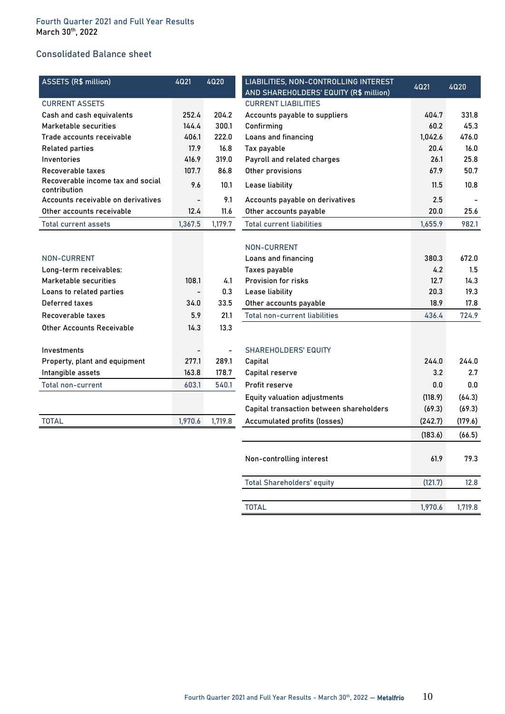# **Consolidated Balance sheet**

| <b>ASSETS (R\$ million)</b>                       | 4021                     | 4020    | LIABILITIES, NON-CONTROLLING INTEREST    | 4Q21    | 4020    |
|---------------------------------------------------|--------------------------|---------|------------------------------------------|---------|---------|
|                                                   |                          |         | AND SHAREHOLDERS' EQUITY (R\$ million)   |         |         |
| <b>CURRENT ASSETS</b>                             |                          |         | <b>CURRENT LIABILITIES</b>               |         |         |
| Cash and cash equivalents                         | 252.4                    | 204.2   | Accounts payable to suppliers            | 404.7   | 331.8   |
| Marketable securities                             | 144.4                    | 300.1   | Confirming                               | 60.2    | 45.3    |
| Trade accounts receivable                         | 406.1                    | 222.0   | Loans and financing                      | 1,042.6 | 476.0   |
| <b>Related parties</b>                            | 17.9                     | 16.8    | Tax payable                              | 20.4    | 16.0    |
| Inventories                                       | 416.9                    | 319.0   | Payroll and related charges              | 26.1    | 25.8    |
| Recoverable taxes                                 | 107.7                    | 86.8    | Other provisions                         | 67.9    | 50.7    |
| Recoverable income tax and social<br>contribution | 9.6                      | 10.1    | Lease liability                          | 11.5    | 10.8    |
| Accounts receivable on derivatives                | $\overline{\phantom{a}}$ | 9.1     | Accounts payable on derivatives          | 2.5     |         |
| Other accounts receivable                         | 12.4                     | 11.6    | Other accounts payable                   | 20.0    | 25.6    |
| <b>Total current assets</b>                       | 1,367.5                  | 1,179.7 | <b>Total current liabilities</b>         | 1,655.9 | 982.1   |
|                                                   |                          |         |                                          |         |         |
|                                                   |                          |         | <b>NON-CURRENT</b>                       |         |         |
| <b>NON-CURRENT</b>                                |                          |         | Loans and financing                      | 380.3   | 672.0   |
| Long-term receivables:                            |                          |         | Taxes payable                            | 4.2     | 1.5     |
| Marketable securities                             | 108.1                    | 4.1     | Provision for risks                      | 12.7    | 14.3    |
| Loans to related parties                          |                          | 0.3     | Lease liability                          | 20.3    | 19.3    |
| Deferred taxes                                    | 34.0                     | 33.5    | Other accounts payable                   | 18.9    | 17.8    |
| Recoverable taxes                                 | 5.9                      | 21.1    | <b>Total non-current liabilities</b>     | 436.4   | 724.9   |
| <b>Other Accounts Receivable</b>                  | 14.3                     | 13.3    |                                          |         |         |
| Investments                                       |                          |         | <b>SHAREHOLDERS' EQUITY</b>              |         |         |
| Property, plant and equipment                     | 277.1                    | 289.1   | Capital                                  | 244.0   | 244.0   |
| Intangible assets                                 | 163.8                    | 178.7   | Capital reserve                          | 3.2     | 2.7     |
| <b>Total non-current</b>                          | 603.1                    | 540.1   | Profit reserve                           | $0.0\,$ | $0.0\,$ |
|                                                   |                          |         | <b>Equity valuation adjustments</b>      | (118.9) | (64.3)  |
|                                                   |                          |         | Capital transaction between shareholders | (69.3)  | (69.3)  |
| <b>TOTAL</b>                                      | 1,970.6                  | 1,719.8 | Accumulated profits (losses)             | (242.7) | (179.6) |
|                                                   |                          |         |                                          | (183.6) | (66.5)  |
|                                                   |                          |         |                                          |         |         |
|                                                   |                          |         | Non-controlling interest                 | 61.9    | 79.3    |
|                                                   |                          |         | <b>Total Shareholders' equity</b>        | (121.7) | 12.8    |

**TOTAL 1,970.6 1,719.8**